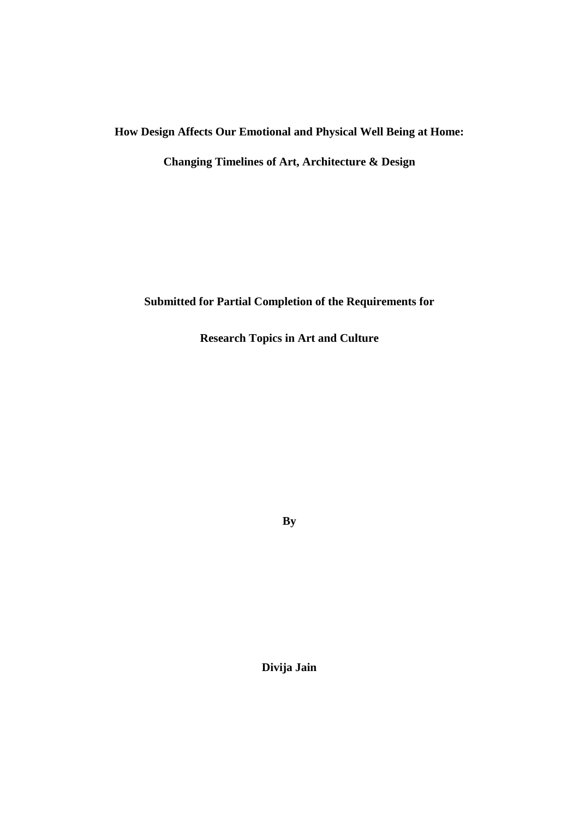# **How Design Affects Our Emotional and Physical Well Being at Home:**

**Changing Timelines of Art, Architecture & Design**

**Submitted for Partial Completion of the Requirements for**

**Research Topics in Art and Culture**

**By**

**Divija Jain**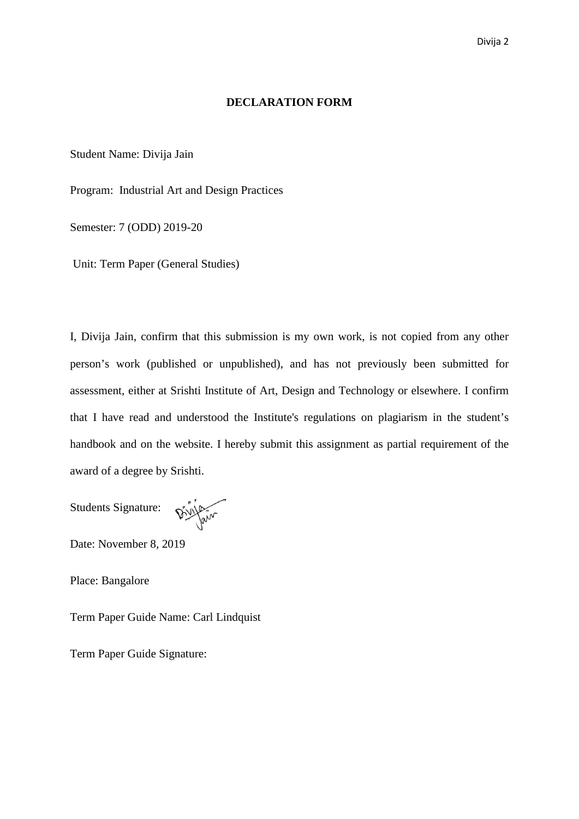### **DECLARATION FORM**

Student Name: Divija Jain

Program: Industrial Art and Design Practices

Semester: 7 (ODD) 2019-20

Unit: Term Paper (General Studies)

I, Divija Jain, confirm that this submission is my own work, is not copied from any other person's work (published or unpublished), and has not previously been submitted for assessment, either at Srishti Institute of Art, Design and Technology or elsewhere. I confirm that I have read and understood the Institute's regulations on plagiarism in the student's handbook and on the website. I hereby submit this assignment as partial requirement of the award of a degree by Srishti.

Students Signature:

Divillain

Date: November 8, 2019

Place: Bangalore

Term Paper Guide Name: Carl Lindquist

Term Paper Guide Signature: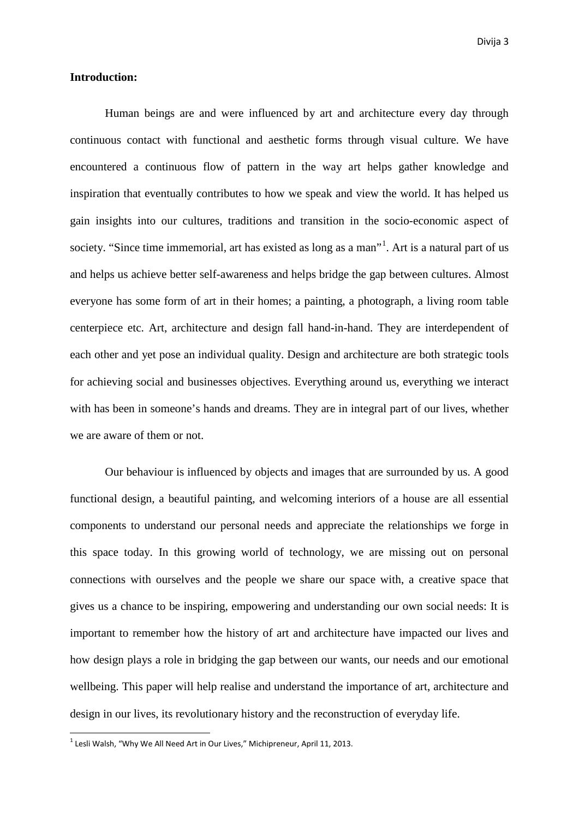#### **Introduction:**

Human beings are and were influenced by art and architecture every day through continuous contact with functional and aesthetic forms through visual culture. We have encountered a continuous flow of pattern in the way art helps gather knowledge and inspiration that eventually contributes to how we speak and view the world. It has helped us gain insights into our cultures, traditions and transition in the socio-economic aspect of society. "Since time immemorial, art has existed as long as a man"<sup>[1](#page-2-0)</sup>. Art is a natural part of us and helps us achieve better self-awareness and helps bridge the gap between cultures. Almost everyone has some form of art in their homes; a painting, a photograph, a living room table centerpiece etc. Art, architecture and design fall hand-in-hand. They are interdependent of each other and yet pose an individual quality. Design and architecture are both strategic tools for achieving social and businesses objectives. Everything around us, everything we interact with has been in someone's hands and dreams. They are in integral part of our lives, whether we are aware of them or not.

Our behaviour is influenced by objects and images that are surrounded by us. A good functional design, a beautiful painting, and welcoming interiors of a house are all essential components to understand our personal needs and appreciate the relationships we forge in this space today. In this growing world of technology, we are missing out on personal connections with ourselves and the people we share our space with, a creative space that gives us a chance to be inspiring, empowering and understanding our own social needs: It is important to remember how the history of art and architecture have impacted our lives and how design plays a role in bridging the gap between our wants, our needs and our emotional wellbeing. This paper will help realise and understand the importance of art, architecture and design in our lives, its revolutionary history and the reconstruction of everyday life.

<span id="page-2-0"></span> $1$  Lesli Walsh, "Why We All Need Art in Our Lives," Michipreneur, April 11, 2013.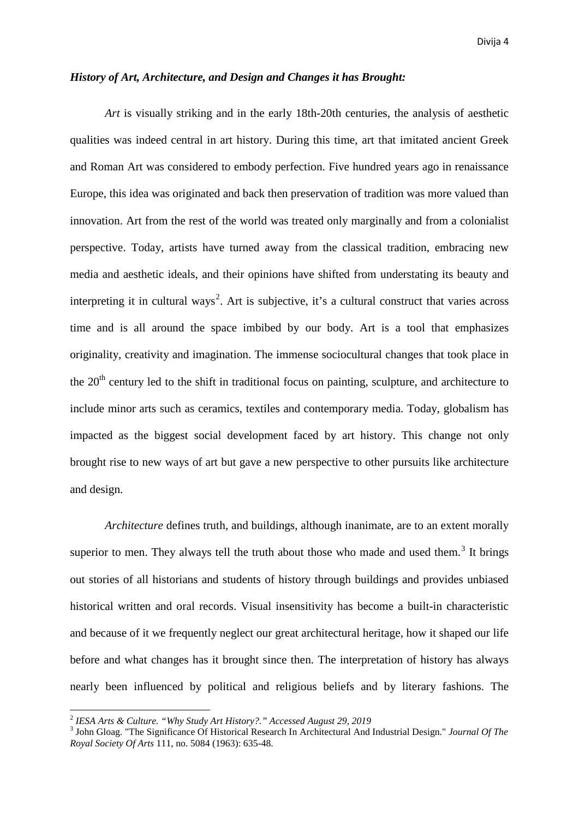## *History of Art, Architecture, and Design and Changes it has Brought:*

*Art* is visually striking and in the early 18th-20th centuries, the analysis of aesthetic qualities was indeed central in art history. During this time, art that imitated ancient Greek and Roman Art was considered to embody perfection. Five hundred years ago in renaissance Europe, this idea was originated and back then preservation of tradition was more valued than innovation. Art from the rest of the world was treated only marginally and from a colonialist perspective. Today, artists have turned away from the classical tradition, embracing new media and aesthetic ideals, and their opinions have shifted from understating its beauty and interpreting it in cultural ways<sup>[2](#page-3-0)</sup>. Art is subjective, it's a cultural construct that varies across time and is all around the space imbibed by our body. Art is a tool that emphasizes originality, creativity and imagination. The immense sociocultural changes that took place in the  $20<sup>th</sup>$  century led to the shift in traditional focus on painting, sculpture, and architecture to include minor arts such as ceramics, textiles and contemporary media. Today, globalism has impacted as the biggest social development faced by art history. This change not only brought rise to new ways of art but gave a new perspective to other pursuits like architecture and design.

*Architecture* defines truth, and buildings, although inanimate, are to an extent morally superior to men. They always tell the truth about those who made and used them.<sup>[3](#page-3-1)</sup> It brings out stories of all historians and students of history through buildings and provides unbiased historical written and oral records. Visual insensitivity has become a built-in characteristic and because of it we frequently neglect our great architectural heritage, how it shaped our life before and what changes has it brought since then. The interpretation of history has always nearly been influenced by political and religious beliefs and by literary fashions. The

<span id="page-3-1"></span>

<span id="page-3-0"></span><sup>&</sup>lt;sup>2</sup> *IESA Arts & Culture. "Why Study Art History?." Accessed August 29, 2019*<br><sup>3</sup> John Gloag. "The Significance Of Historical Research In Architectural And Industrial Design." *Journal Of The Royal Society Of Arts* 111, no. 5084 (1963): 635-48.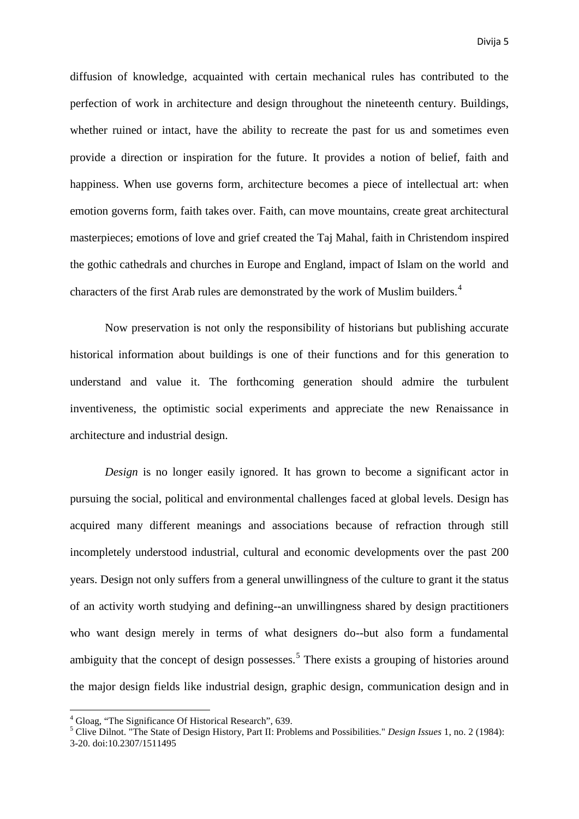diffusion of knowledge, acquainted with certain mechanical rules has contributed to the perfection of work in architecture and design throughout the nineteenth century. Buildings, whether ruined or intact, have the ability to recreate the past for us and sometimes even provide a direction or inspiration for the future. It provides a notion of belief, faith and happiness. When use governs form, architecture becomes a piece of intellectual art: when emotion governs form, faith takes over. Faith, can move mountains, create great architectural masterpieces; emotions of love and grief created the Taj Mahal, faith in Christendom inspired the gothic cathedrals and churches in Europe and England, impact of Islam on the world and characters of the first Arab rules are demonstrated by the work of Muslim builders.[4](#page-4-0)

Now preservation is not only the responsibility of historians but publishing accurate historical information about buildings is one of their functions and for this generation to understand and value it. The forthcoming generation should admire the turbulent inventiveness, the optimistic social experiments and appreciate the new Renaissance in architecture and industrial design.

*Design* is no longer easily ignored. It has grown to become a significant actor in pursuing the social, political and environmental challenges faced at global levels. Design has acquired many different meanings and associations because of refraction through still incompletely understood industrial, cultural and economic developments over the past 200 years. Design not only suffers from a general unwillingness of the culture to grant it the status of an activity worth studying and defining--an unwillingness shared by design practitioners who want design merely in terms of what designers do--but also form a fundamental ambiguity that the concept of design possesses.<sup>[5](#page-4-1)</sup> There exists a grouping of histories around the major design fields like industrial design, graphic design, communication design and in

<span id="page-4-1"></span><span id="page-4-0"></span><sup>&</sup>lt;sup>4</sup> Gloag, "The Significance Of Historical Research", 639.<br><sup>5</sup> Clive Dilnot. "The State of Design History, Part II: Problems and Possibilities." *Design Issues* 1, no. 2 (1984): 3-20. doi:10.2307/1511495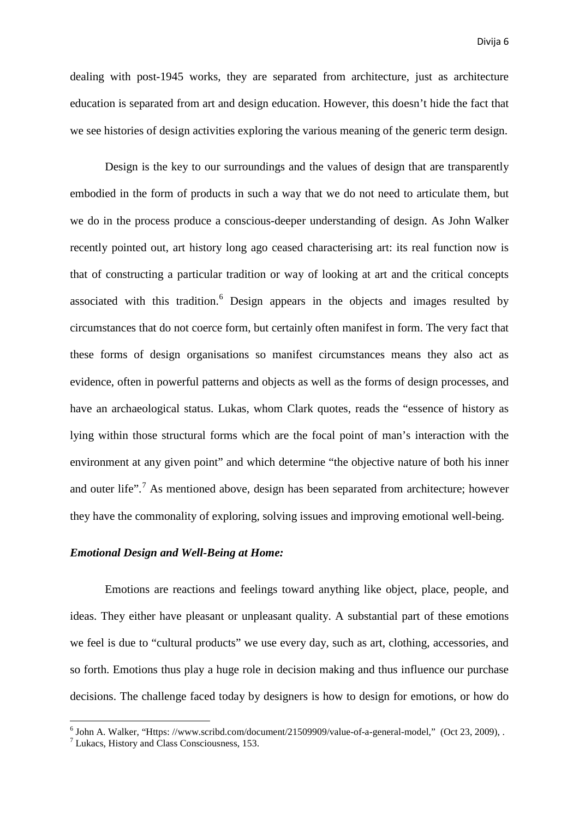dealing with post-1945 works, they are separated from architecture, just as architecture education is separated from art and design education. However, this doesn't hide the fact that we see histories of design activities exploring the various meaning of the generic term design.

Design is the key to our surroundings and the values of design that are transparently embodied in the form of products in such a way that we do not need to articulate them, but we do in the process produce a conscious-deeper understanding of design. As John Walker recently pointed out, art history long ago ceased characterising art: its real function now is that of constructing a particular tradition or way of looking at art and the critical concepts associated with this tradition. [6](#page-5-0) Design appears in the objects and images resulted by circumstances that do not coerce form, but certainly often manifest in form. The very fact that these forms of design organisations so manifest circumstances means they also act as evidence, often in powerful patterns and objects as well as the forms of design processes, and have an archaeological status. Lukas, whom Clark quotes, reads the "essence of history as lying within those structural forms which are the focal point of man's interaction with the environment at any given point" and which determine "the objective nature of both his inner and outer life".<sup>[7](#page-5-1)</sup> As mentioned above, design has been separated from architecture; however they have the commonality of exploring, solving issues and improving emotional well-being.

## *Emotional Design and Well-Being at Home:*

Emotions are reactions and feelings toward anything like object, place, people, and ideas. They either have pleasant or unpleasant quality. A substantial part of these emotions we feel is due to "cultural products" we use every day, such as art, clothing, accessories, and so forth. Emotions thus play a huge role in decision making and thus influence our purchase decisions. The challenge faced today by designers is how to design for emotions, or how do

<span id="page-5-1"></span><span id="page-5-0"></span><sup>&</sup>lt;sup>6</sup> John A. Walker, "Https: //www.scribd.com/document/21509909/value-of-a-general-model," (Oct 23, 2009), . <sup>7</sup> Lukacs, History and Class Consciousness, 153.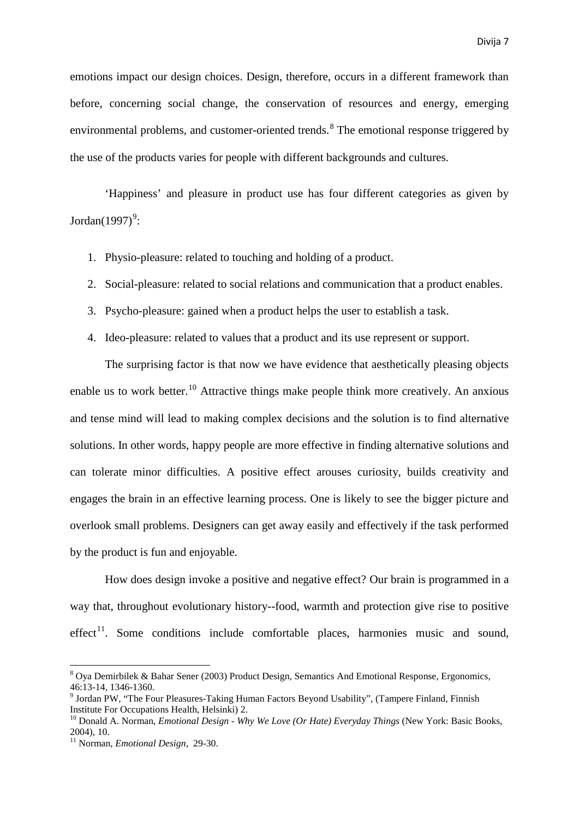emotions impact our design choices. Design, therefore, occurs in a different framework than before, concerning social change, the conservation of resources and energy, emerging environmental problems, and customer-oriented trends.<sup>[8](#page-6-0)</sup> The emotional response triggered by the use of the products varies for people with different backgrounds and cultures.

'Happiness' and pleasure in product use has four different categories as given by Jordan $(1997)^9$  $(1997)^9$  $(1997)^9$ :

- 1. Physio-pleasure: related to touching and holding of a product.
- 2. Social-pleasure: related to social relations and communication that a product enables.
- 3. Psycho-pleasure: gained when a product helps the user to establish a task.
- 4. Ideo-pleasure: related to values that a product and its use represent or support.

The surprising factor is that now we have evidence that aesthetically pleasing objects enable us to work better.<sup>[10](#page-6-2)</sup> Attractive things make people think more creatively. An anxious and tense mind will lead to making complex decisions and the solution is to find alternative solutions. In other words, happy people are more effective in finding alternative solutions and can tolerate minor difficulties. A positive effect arouses curiosity, builds creativity and engages the brain in an effective learning process. One is likely to see the bigger picture and overlook small problems. Designers can get away easily and effectively if the task performed by the product is fun and enjoyable.

How does design invoke a positive and negative effect? Our brain is programmed in a way that, throughout evolutionary history--food, warmth and protection give rise to positive  $effect<sup>11</sup>$  $effect<sup>11</sup>$  $effect<sup>11</sup>$ . Some conditions include comfortable places, harmonies music and sound,

<span id="page-6-0"></span> $8$  Oya Demirbilek & Bahar Sener (2003) Product Design, Semantics And Emotional Response, Ergonomics,  $46:13-14$ ,  $1346-1360$ .

<span id="page-6-1"></span><sup>&</sup>lt;sup>9</sup> Jordan PW, "The Four Pleasures-Taking Human Factors Beyond Usability", (Tampere Finland, Finnish Institute For Occupations Health. Helsinki) 2.

<span id="page-6-2"></span><sup>&</sup>lt;sup>10</sup> Donald A. Norman, *Emotional Design - Why We Love (Or Hate) Everyday Things* (New York: Basic Books, 2004), 10.

<span id="page-6-3"></span><sup>11</sup> Norman, *Emotional Design,* 29-30.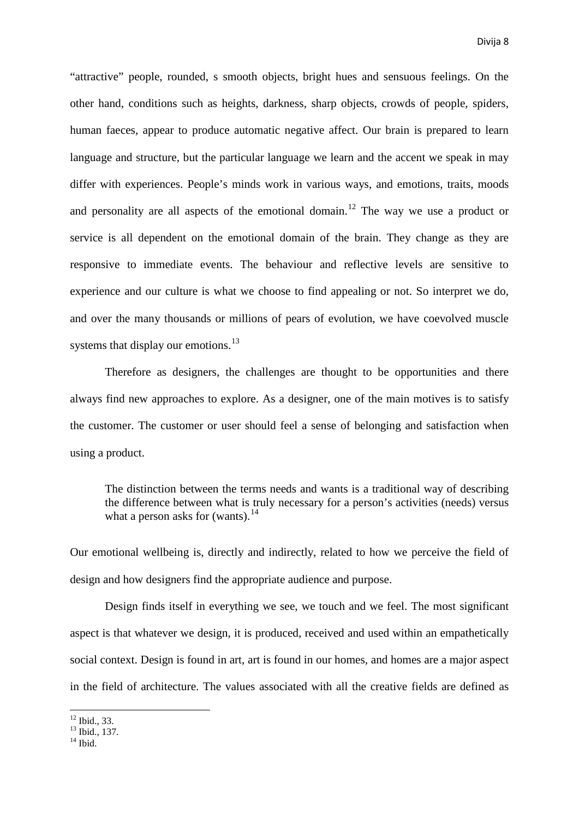"attractive" people, rounded, s smooth objects, bright hues and sensuous feelings. On the other hand, conditions such as heights, darkness, sharp objects, crowds of people, spiders, human faeces, appear to produce automatic negative affect. Our brain is prepared to learn language and structure, but the particular language we learn and the accent we speak in may differ with experiences. People's minds work in various ways, and emotions, traits, moods and personality are all aspects of the emotional domain.<sup>[12](#page-7-0)</sup> The way we use a product or service is all dependent on the emotional domain of the brain. They change as they are responsive to immediate events. The behaviour and reflective levels are sensitive to experience and our culture is what we choose to find appealing or not. So interpret we do, and over the many thousands or millions of pears of evolution, we have coevolved muscle systems that display our emotions.<sup>[13](#page-7-1)</sup>

Therefore as designers, the challenges are thought to be opportunities and there always find new approaches to explore. As a designer, one of the main motives is to satisfy the customer. The customer or user should feel a sense of belonging and satisfaction when using a product.

The distinction between the terms needs and wants is a traditional way of describing the difference between what is truly necessary for a person's activities (needs) versus what a person asks for (wants).<sup>[14](#page-7-2)</sup>

Our emotional wellbeing is, directly and indirectly, related to how we perceive the field of design and how designers find the appropriate audience and purpose.

Design finds itself in everything we see, we touch and we feel. The most significant aspect is that whatever we design, it is produced, received and used within an empathetically social context. Design is found in art, art is found in our homes, and homes are a major aspect in the field of architecture. The values associated with all the creative fields are defined as

<span id="page-7-1"></span><span id="page-7-0"></span> $\frac{12}{13}$  Ibid., 33.<br> $\frac{13}{14}$  Ibid.

<span id="page-7-2"></span>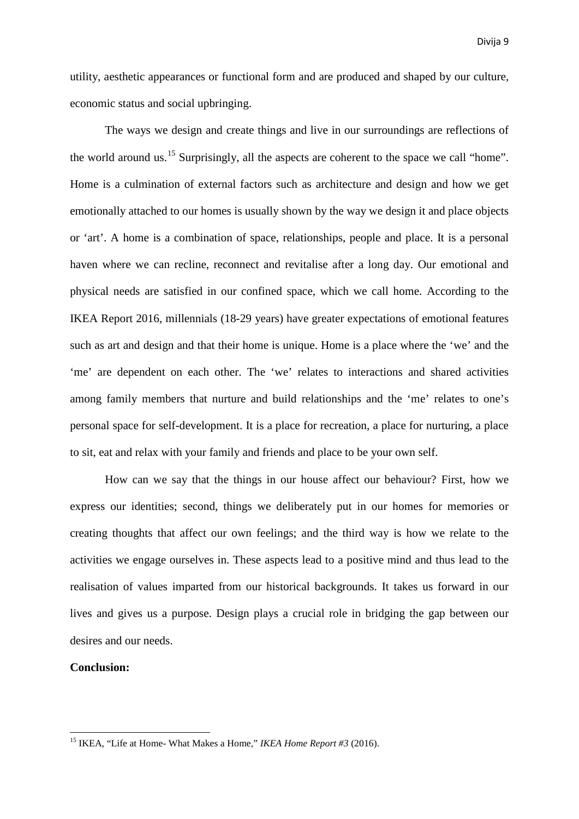utility, aesthetic appearances or functional form and are produced and shaped by our culture, economic status and social upbringing.

The ways we design and create things and live in our surroundings are reflections of the world around us.<sup>[15](#page-8-0)</sup> Surprisingly, all the aspects are coherent to the space we call "home". Home is a culmination of external factors such as architecture and design and how we get emotionally attached to our homes is usually shown by the way we design it and place objects or 'art'. A home is a combination of space, relationships, people and place. It is a personal haven where we can recline, reconnect and revitalise after a long day. Our emotional and physical needs are satisfied in our confined space, which we call home. According to the IKEA Report 2016, millennials (18-29 years) have greater expectations of emotional features such as art and design and that their home is unique. Home is a place where the 'we' and the 'me' are dependent on each other. The 'we' relates to interactions and shared activities among family members that nurture and build relationships and the 'me' relates to one's personal space for self-development. It is a place for recreation, a place for nurturing, a place to sit, eat and relax with your family and friends and place to be your own self.

How can we say that the things in our house affect our behaviour? First, how we express our identities; second, things we deliberately put in our homes for memories or creating thoughts that affect our own feelings; and the third way is how we relate to the activities we engage ourselves in. These aspects lead to a positive mind and thus lead to the realisation of values imparted from our historical backgrounds. It takes us forward in our lives and gives us a purpose. Design plays a crucial role in bridging the gap between our desires and our needs.

### **Conclusion:**

<span id="page-8-0"></span><sup>15</sup> IKEA, "Life at Home- What Makes a Home," *IKEA Home Report #3* (2016).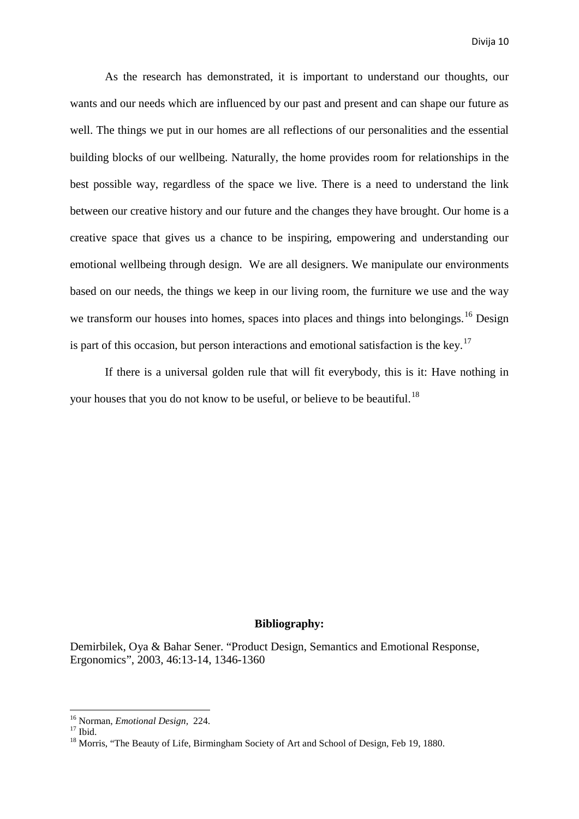As the research has demonstrated, it is important to understand our thoughts, our wants and our needs which are influenced by our past and present and can shape our future as well. The things we put in our homes are all reflections of our personalities and the essential building blocks of our wellbeing. Naturally, the home provides room for relationships in the best possible way, regardless of the space we live. There is a need to understand the link between our creative history and our future and the changes they have brought. Our home is a creative space that gives us a chance to be inspiring, empowering and understanding our emotional wellbeing through design. We are all designers. We manipulate our environments based on our needs, the things we keep in our living room, the furniture we use and the way we transform our houses into homes, spaces into places and things into belongings.<sup>[16](#page-9-0)</sup> Design is part of this occasion, but person interactions and emotional satisfaction is the key.<sup>[17](#page-9-1)</sup>

If there is a universal golden rule that will fit everybody, this is it: Have nothing in your houses that you do not know to be useful, or believe to be beautiful.<sup>[18](#page-9-2)</sup>

## **Bibliography:**

Demirbilek, Oya & Bahar Sener. "Product Design, Semantics and Emotional Response, Ergonomics", 2003, 46:13-14, 1346-1360

<span id="page-9-2"></span><span id="page-9-1"></span>

<span id="page-9-0"></span><sup>&</sup>lt;sup>16</sup> Norman, *Emotional Design*, 224.<br><sup>17</sup> Ibid. <sup>18</sup> Morris, "The Beauty of Life, Birmingham Society of Art and School of Design, Feb 19, 1880.